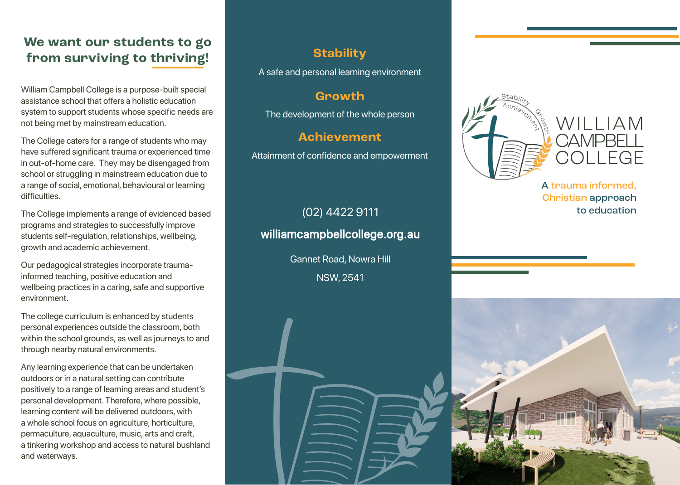### **We want our students to go from surviving to thriving!**

William Campbell College is a purpose-built special assistance school that offers a holistic education system to support students whose specific needs are not being met by mainstream education.

The College caters for a range of students who may have suffered significant trauma or experienced time in out-of-home care. They may be disengaged from school or struggling in mainstream education due to a range of social, emotional, behavioural or learning difficulties.

The College implements a range of evidenced based programs and strategies to successfully improve students self-regulation, relationships, wellbeing, growth and academic achievement.

Our pedagogical strategies incorporate traumainformed teaching, positive education and wellbeing practices in a caring, safe and supportive environment.

The college curriculum is enhanced by students personal experiences outside the classroom, both within the school grounds, as well as journeys to and through nearby natural environments.

Any learning experience that can be undertaken outdoors or in a natural setting can contribute positively to a range of learning areas and student's personal development. Therefore, where possible, learning content will be delivered outdoors, with a whole school focus on agriculture, horticulture, permaculture, aquaculture, music, arts and craft, a tinkering workshop and access to natural bushland and waterways.

#### **Stability**

A safe and personal learning environment

#### **Growth**

The development of the whole person

#### **Achievement**

Attainment of confidence and empowerment

# (02) 4422 9111 to education williamcampbellcollege.org.au

Gannet Road, Nowra Hill NSW, 2541



A trauma informed, Christian approach